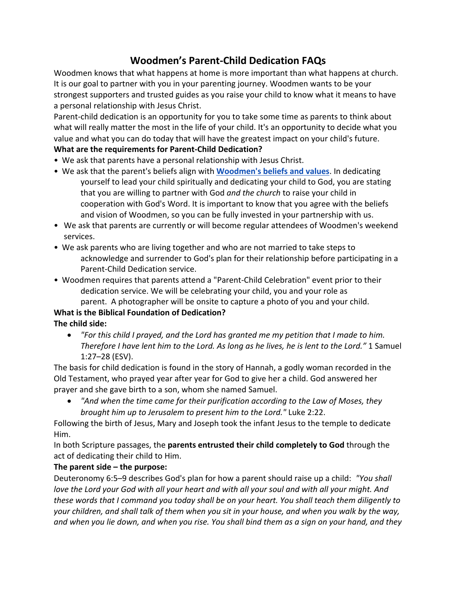# **Woodmen's Parent-Child Dedication FAQs**

Woodmen knows that what happens at home is more important than what happens at church. It is our goal to partner with you in your parenting journey. Woodmen wants to be your strongest supporters and trusted guides as you raise your child to know what it means to have a personal relationship with Jesus Christ.

Parent-child dedication is an opportunity for you to take some time as parents to think about what will really matter the most in the life of your child. It's an opportunity to decide what you value and what you can do today that will have the greatest impact on your child's future.

## **What are the requirements for Parent-Child Dedication?**

- We ask that parents have a personal relationship with Jesus Christ.
- We ask that the parent's beliefs align with **Woodmen's beliefs and values**. In dedicating yourself to lead your child spiritually and dedicating your child to God, you are stating that you are willing to partner with God *and the church* to raise your child in cooperation with God's Word. It is important to know that you agree with the beliefs and vision of Woodmen, so you can be fully invested in your partnership with us.
- We ask that parents are currently or will become regular attendees of Woodmen's weekend services.
- We ask parents who are living together and who are not married to take steps to acknowledge and surrender to God's plan for their relationship before participating in a Parent-Child Dedication service.
- Woodmen requires that parents attend a "Parent-Child Celebration" event prior to their dedication service. We will be celebrating your child, you and your role as parent. A photographer will be onsite to capture a photo of you and your child.

## **What is the Biblical Foundation of Dedication? The child side:**

• *"For this child I prayed, and the Lord has granted me my petition that I made to him. Therefore I have lent him to the Lord. As long as he lives, he is lent to the Lord."* 1 Samuel 1:27–28 (ESV).

The basis for child dedication is found in the story of Hannah, a godly woman recorded in the Old Testament, who prayed year after year for God to give her a child. God answered her prayer and she gave birth to a son, whom she named Samuel.

• *"And when the time came for their purification according to the Law of Moses, they brought him up to Jerusalem to present him to the Lord."* Luke 2:22.

Following the birth of Jesus, Mary and Joseph took the infant Jesus to the temple to dedicate Him.

In both Scripture passages, the **parents entrusted their child completely to God** through the act of dedicating their child to Him.

## **The parent side – the purpose:**

Deuteronomy 6:5–9 describes God's plan for how a parent should raise up a child: *"You shall love the Lord your God with all your heart and with all your soul and with all your might. And these words that I command you today shall be on your heart. You shall teach them diligently to your children, and shall talk of them when you sit in your house, and when you walk by the way, and when you lie down, and when you rise. You shall bind them as a sign on your hand, and they*